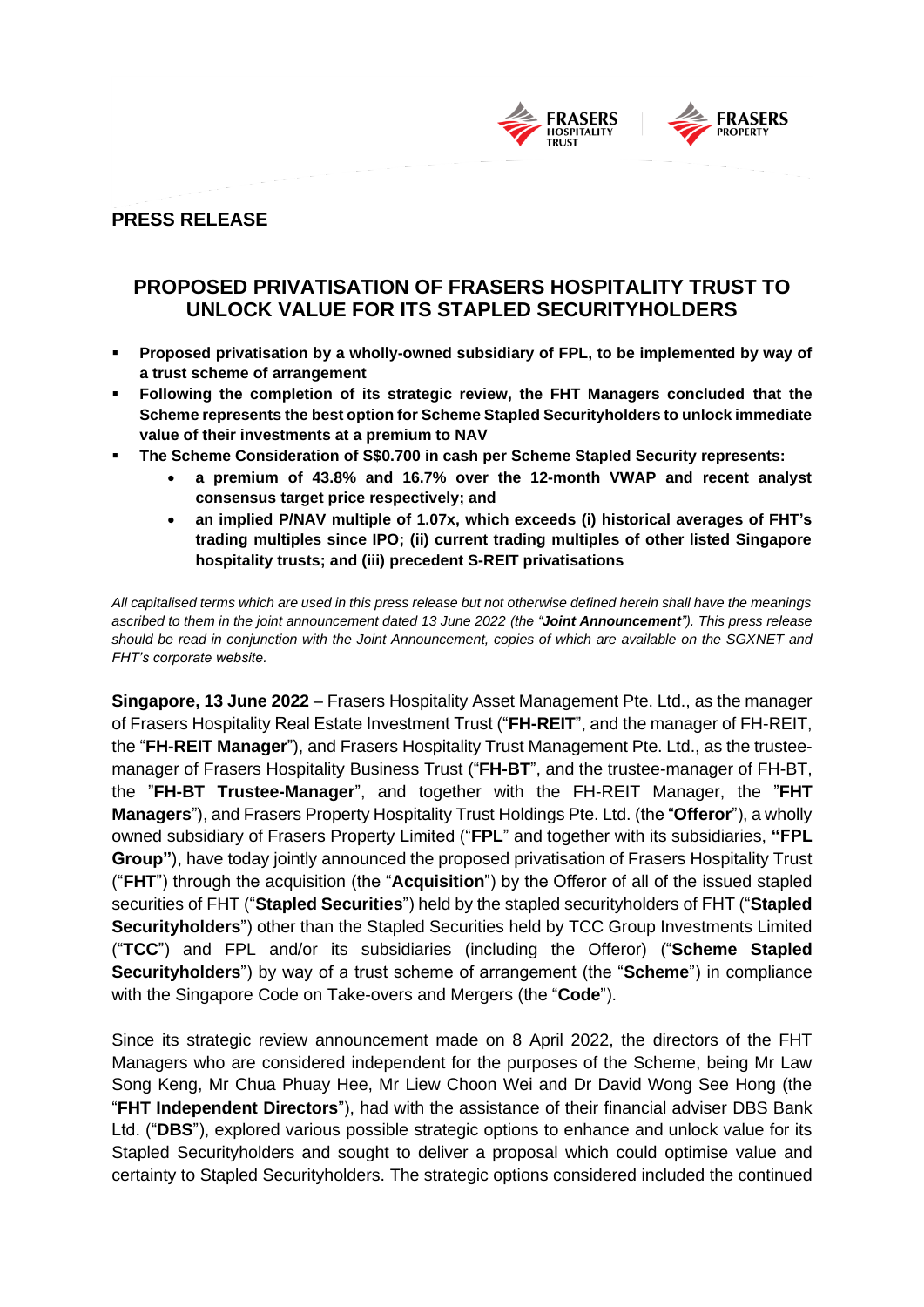

# **PRESS RELEASE**

# **PROPOSED PRIVATISATION OF FRASERS HOSPITALITY TRUST TO UNLOCK VALUE FOR ITS STAPLED SECURITYHOLDERS**

- **Proposed privatisation by a wholly-owned subsidiary of FPL, to be implemented by way of a trust scheme of arrangement**
- **Following the completion of its strategic review, the FHT Managers concluded that the Scheme represents the best option for Scheme Stapled Securityholders to unlock immediate value of their investments at a premium to NAV**
- **The Scheme Consideration of S\$0.700 in cash per Scheme Stapled Security represents:**
	- **a premium of 43.8% and 16.7% over the 12-month VWAP and recent analyst consensus target price respectively; and**
	- **an implied P/NAV multiple of 1.07x, which exceeds (i) historical averages of FHT's trading multiples since IPO; (ii) current trading multiples of other listed Singapore hospitality trusts; and (iii) precedent S-REIT privatisations**

*All capitalised terms which are used in this press release but not otherwise defined herein shall have the meanings ascribed to them in the joint announcement dated 13 June 2022 (the "Joint Announcement"). This press release should be read in conjunction with the Joint Announcement, copies of which are available on the SGXNET and FHT's corporate website.*

**Singapore, 13 June 2022** – Frasers Hospitality Asset Management Pte. Ltd., as the manager of Frasers Hospitality Real Estate Investment Trust ("**FH-REIT**", and the manager of FH-REIT, the "**FH-REIT Manager**"), and Frasers Hospitality Trust Management Pte. Ltd., as the trusteemanager of Frasers Hospitality Business Trust ("**FH-BT**", and the trustee-manager of FH-BT, the "**FH-BT Trustee-Manager**", and together with the FH-REIT Manager, the "**FHT Managers**"), and Frasers Property Hospitality Trust Holdings Pte. Ltd. (the "**Offeror**"), a wholly owned subsidiary of Frasers Property Limited ("**FPL**" and together with its subsidiaries, **"FPL Group"**), have today jointly announced the proposed privatisation of Frasers Hospitality Trust ("**FHT**") through the acquisition (the "**Acquisition**") by the Offeror of all of the issued stapled securities of FHT ("**Stapled Securities**") held by the stapled securityholders of FHT ("**Stapled Securityholders**") other than the Stapled Securities held by TCC Group Investments Limited ("**TCC**") and FPL and/or its subsidiaries (including the Offeror) ("**Scheme Stapled Securityholders**") by way of a trust scheme of arrangement (the "**Scheme**") in compliance with the Singapore Code on Take-overs and Mergers (the "**Code**").

Since its strategic review announcement made on 8 April 2022, the directors of the FHT Managers who are considered independent for the purposes of the Scheme, being Mr Law Song Keng, Mr Chua Phuay Hee, Mr Liew Choon Wei and Dr David Wong See Hong (the "**FHT Independent Directors**"), had with the assistance of their financial adviser DBS Bank Ltd. ("**DBS**"), explored various possible strategic options to enhance and unlock value for its Stapled Securityholders and sought to deliver a proposal which could optimise value and certainty to Stapled Securityholders. The strategic options considered included the continued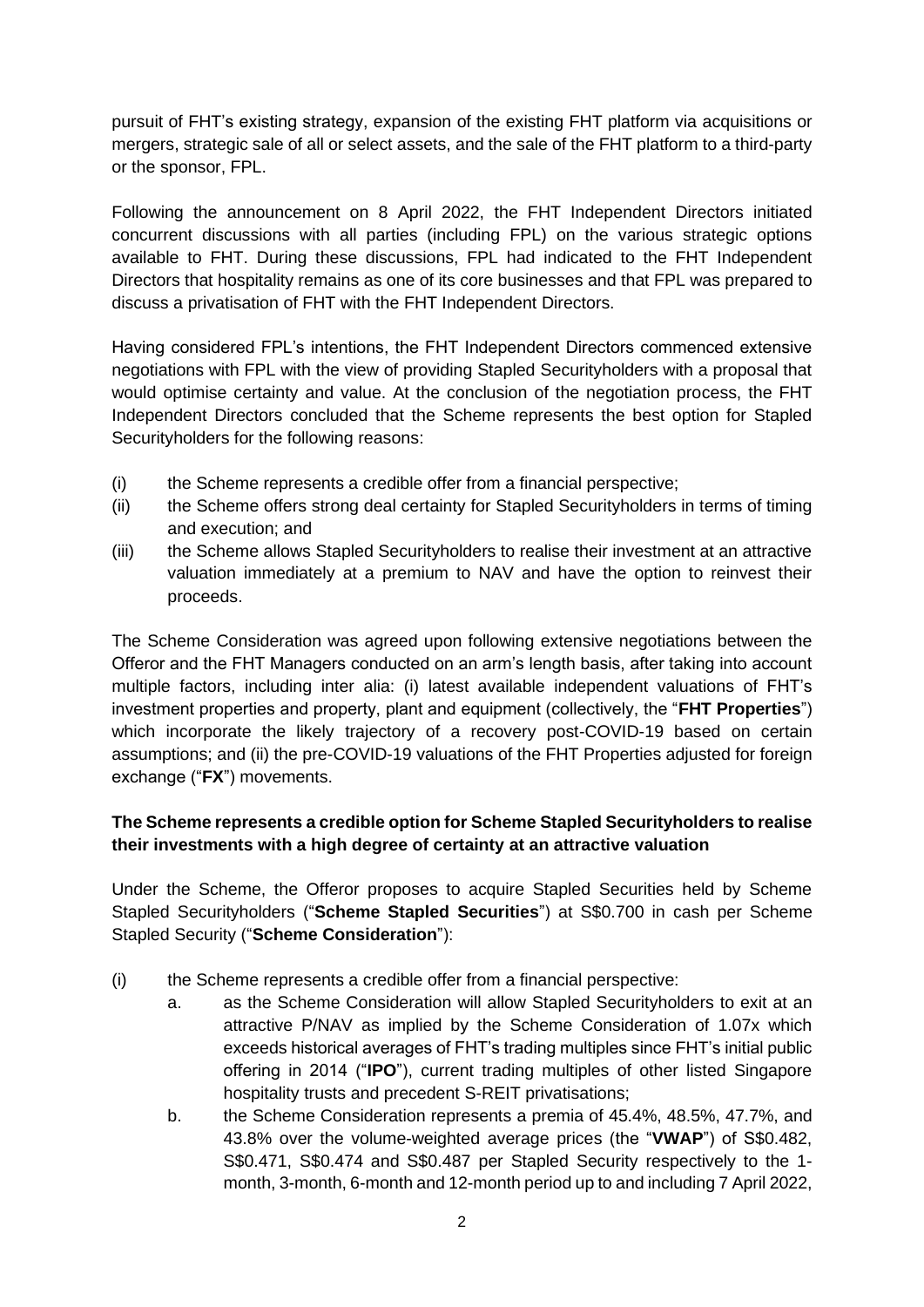pursuit of FHT's existing strategy, expansion of the existing FHT platform via acquisitions or mergers, strategic sale of all or select assets, and the sale of the FHT platform to a third-party or the sponsor, FPL.

Following the announcement on 8 April 2022, the FHT Independent Directors initiated concurrent discussions with all parties (including FPL) on the various strategic options available to FHT. During these discussions, FPL had indicated to the FHT Independent Directors that hospitality remains as one of its core businesses and that FPL was prepared to discuss a privatisation of FHT with the FHT Independent Directors.

Having considered FPL's intentions, the FHT Independent Directors commenced extensive negotiations with FPL with the view of providing Stapled Securityholders with a proposal that would optimise certainty and value. At the conclusion of the negotiation process, the FHT Independent Directors concluded that the Scheme represents the best option for Stapled Securityholders for the following reasons:

- (i) the Scheme represents a credible offer from a financial perspective;
- (ii) the Scheme offers strong deal certainty for Stapled Securityholders in terms of timing and execution; and
- (iii) the Scheme allows Stapled Securityholders to realise their investment at an attractive valuation immediately at a premium to NAV and have the option to reinvest their proceeds.

The Scheme Consideration was agreed upon following extensive negotiations between the Offeror and the FHT Managers conducted on an arm's length basis, after taking into account multiple factors, including inter alia: (i) latest available independent valuations of FHT's investment properties and property, plant and equipment (collectively, the "**FHT Properties**") which incorporate the likely trajectory of a recovery post-COVID-19 based on certain assumptions; and (ii) the pre-COVID-19 valuations of the FHT Properties adjusted for foreign exchange ("**FX**") movements.

# **The Scheme represents a credible option for Scheme Stapled Securityholders to realise their investments with a high degree of certainty at an attractive valuation**

Under the Scheme, the Offeror proposes to acquire Stapled Securities held by Scheme Stapled Securityholders ("**Scheme Stapled Securities**") at S\$0.700 in cash per Scheme Stapled Security ("**Scheme Consideration**"):

- (i) the Scheme represents a credible offer from a financial perspective:
	- a. as the Scheme Consideration will allow Stapled Securityholders to exit at an attractive P/NAV as implied by the Scheme Consideration of 1.07x which exceeds historical averages of FHT's trading multiples since FHT's initial public offering in 2014 ("**IPO**"), current trading multiples of other listed Singapore hospitality trusts and precedent S-REIT privatisations;
	- b. the Scheme Consideration represents a premia of 45.4%, 48.5%, 47.7%, and 43.8% over the volume-weighted average prices (the "**VWAP**") of S\$0.482, S\$0.471, S\$0.474 and S\$0.487 per Stapled Security respectively to the 1 month, 3-month, 6-month and 12-month period up to and including 7 April 2022,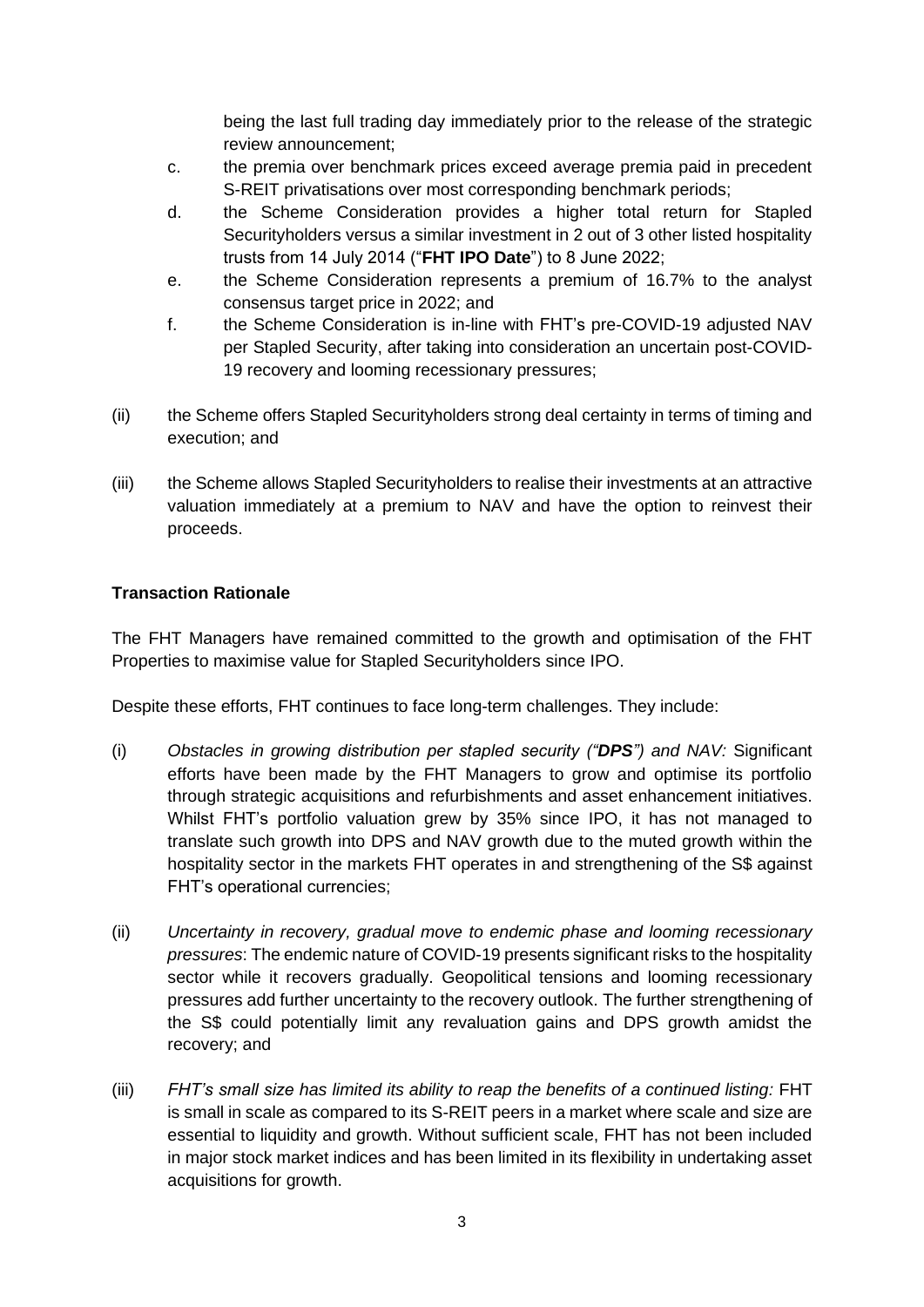being the last full trading day immediately prior to the release of the strategic review announcement;

- c. the premia over benchmark prices exceed average premia paid in precedent S-REIT privatisations over most corresponding benchmark periods;
- d. the Scheme Consideration provides a higher total return for Stapled Securityholders versus a similar investment in 2 out of 3 other listed hospitality trusts from 14 July 2014 ("**FHT IPO Date**") to 8 June 2022;
- e. the Scheme Consideration represents a premium of 16.7% to the analyst consensus target price in 2022; and
- f. the Scheme Consideration is in-line with FHT's pre-COVID-19 adjusted NAV per Stapled Security, after taking into consideration an uncertain post-COVID-19 recovery and looming recessionary pressures;
- (ii) the Scheme offers Stapled Securityholders strong deal certainty in terms of timing and execution; and
- (iii) the Scheme allows Stapled Securityholders to realise their investments at an attractive valuation immediately at a premium to NAV and have the option to reinvest their proceeds.

# **Transaction Rationale**

The FHT Managers have remained committed to the growth and optimisation of the FHT Properties to maximise value for Stapled Securityholders since IPO.

Despite these efforts, FHT continues to face long-term challenges. They include:

- (i) *Obstacles in growing distribution per stapled security ("DPS") and NAV:* Significant efforts have been made by the FHT Managers to grow and optimise its portfolio through strategic acquisitions and refurbishments and asset enhancement initiatives. Whilst FHT's portfolio valuation grew by 35% since IPO, it has not managed to translate such growth into DPS and NAV growth due to the muted growth within the hospitality sector in the markets FHT operates in and strengthening of the S\$ against FHT's operational currencies;
- (ii) *Uncertainty in recovery, gradual move to endemic phase and looming recessionary pressures*: The endemic nature of COVID-19 presents significant risks to the hospitality sector while it recovers gradually. Geopolitical tensions and looming recessionary pressures add further uncertainty to the recovery outlook. The further strengthening of the S\$ could potentially limit any revaluation gains and DPS growth amidst the recovery; and
- (iii) *FHT's small size has limited its ability to reap the benefits of a continued listing:* FHT is small in scale as compared to its S-REIT peers in a market where scale and size are essential to liquidity and growth. Without sufficient scale, FHT has not been included in major stock market indices and has been limited in its flexibility in undertaking asset acquisitions for growth.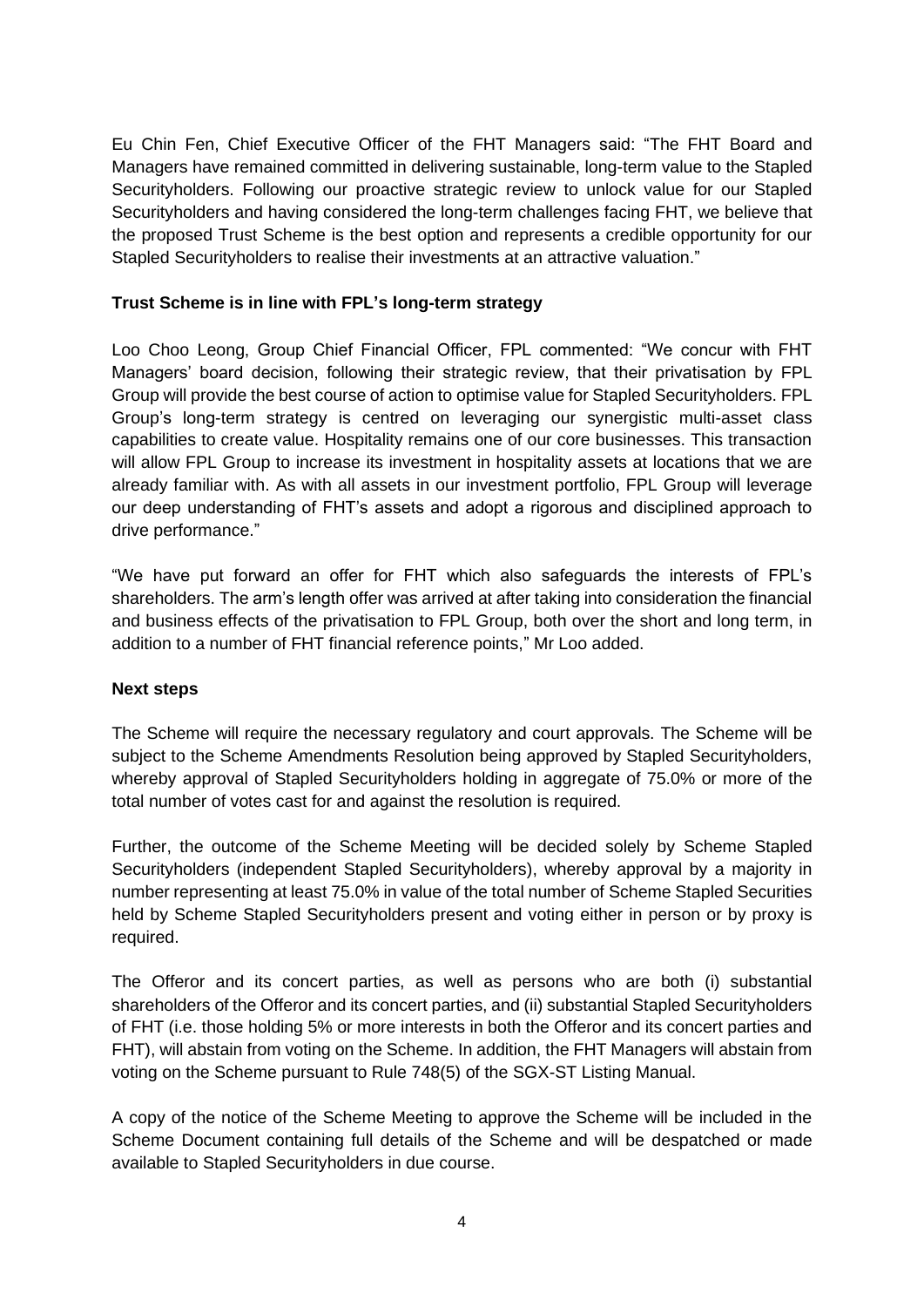Eu Chin Fen, Chief Executive Officer of the FHT Managers said: "The FHT Board and Managers have remained committed in delivering sustainable, long-term value to the Stapled Securityholders. Following our proactive strategic review to unlock value for our Stapled Securityholders and having considered the long-term challenges facing FHT, we believe that the proposed Trust Scheme is the best option and represents a credible opportunity for our Stapled Securityholders to realise their investments at an attractive valuation."

## **Trust Scheme is in line with FPL's long-term strategy**

Loo Choo Leong, Group Chief Financial Officer, FPL commented: "We concur with FHT Managers' board decision, following their strategic review, that their privatisation by FPL Group will provide the best course of action to optimise value for Stapled Securityholders. FPL Group's long-term strategy is centred on leveraging our synergistic multi-asset class capabilities to create value. Hospitality remains one of our core businesses. This transaction will allow FPL Group to increase its investment in hospitality assets at locations that we are already familiar with. As with all assets in our investment portfolio, FPL Group will leverage our deep understanding of FHT's assets and adopt a rigorous and disciplined approach to drive performance."

"We have put forward an offer for FHT which also safeguards the interests of FPL's shareholders. The arm's length offer was arrived at after taking into consideration the financial and business effects of the privatisation to FPL Group, both over the short and long term, in addition to a number of FHT financial reference points," Mr Loo added.

### **Next steps**

The Scheme will require the necessary regulatory and court approvals. The Scheme will be subject to the Scheme Amendments Resolution being approved by Stapled Securityholders, whereby approval of Stapled Securityholders holding in aggregate of 75.0% or more of the total number of votes cast for and against the resolution is required.

Further, the outcome of the Scheme Meeting will be decided solely by Scheme Stapled Securityholders (independent Stapled Securityholders), whereby approval by a majority in number representing at least 75.0% in value of the total number of Scheme Stapled Securities held by Scheme Stapled Securityholders present and voting either in person or by proxy is required.

The Offeror and its concert parties, as well as persons who are both (i) substantial shareholders of the Offeror and its concert parties, and (ii) substantial Stapled Securityholders of FHT (i.e. those holding 5% or more interests in both the Offeror and its concert parties and FHT), will abstain from voting on the Scheme. In addition, the FHT Managers will abstain from voting on the Scheme pursuant to Rule 748(5) of the SGX-ST Listing Manual.

A copy of the notice of the Scheme Meeting to approve the Scheme will be included in the Scheme Document containing full details of the Scheme and will be despatched or made available to Stapled Securityholders in due course.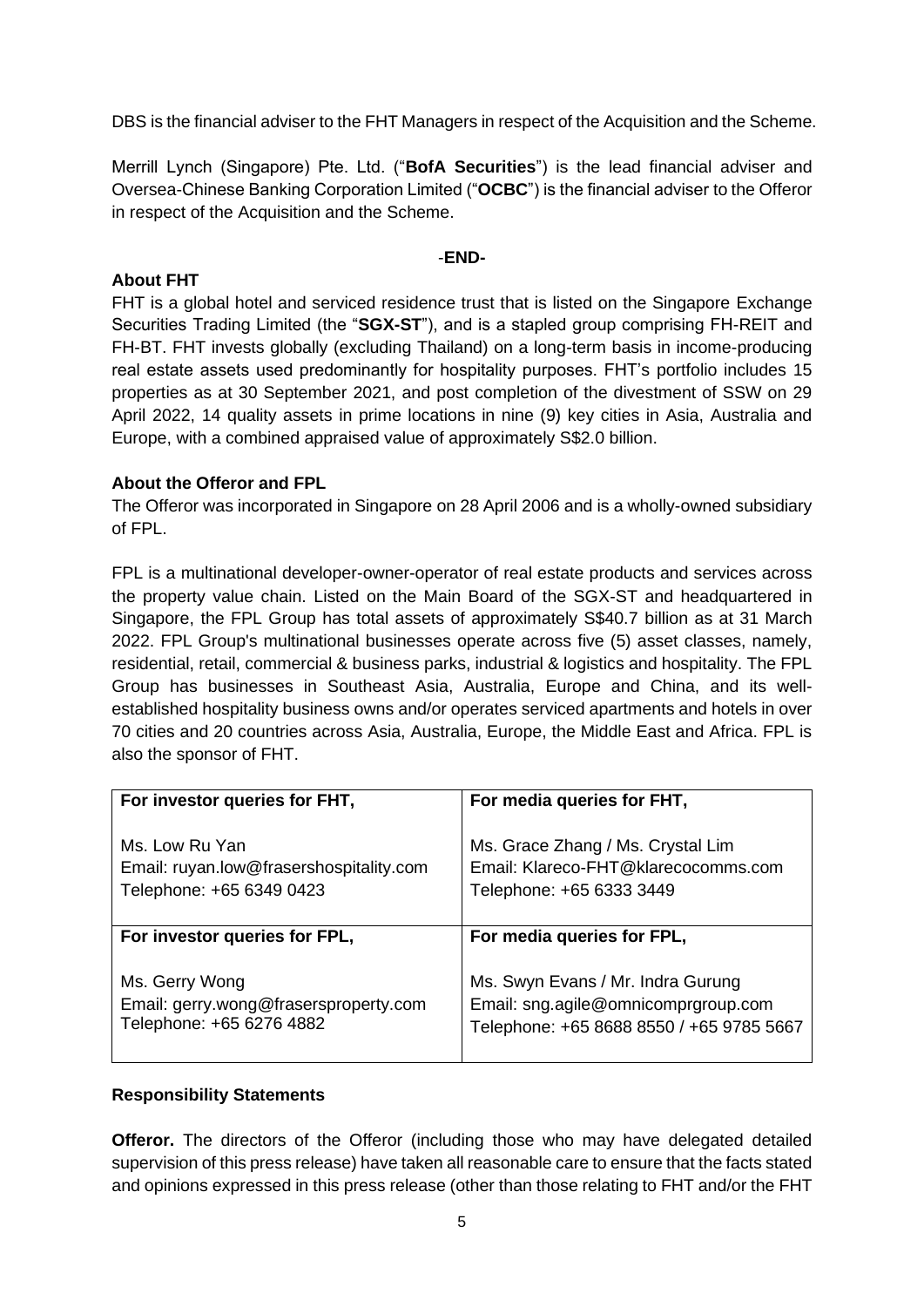DBS is the financial adviser to the FHT Managers in respect of the Acquisition and the Scheme.

Merrill Lynch (Singapore) Pte. Ltd. ("**BofA Securities**") is the lead financial adviser and Oversea-Chinese Banking Corporation Limited ("**OCBC**") is the financial adviser to the Offeror in respect of the Acquisition and the Scheme.

#### -**END-**

#### **About FHT**

FHT is a global hotel and serviced residence trust that is listed on the Singapore Exchange Securities Trading Limited (the "**SGX-ST**"), and is a stapled group comprising FH-REIT and FH-BT. FHT invests globally (excluding Thailand) on a long-term basis in income-producing real estate assets used predominantly for hospitality purposes. FHT's portfolio includes 15 properties as at 30 September 2021, and post completion of the divestment of SSW on 29 April 2022, 14 quality assets in prime locations in nine (9) key cities in Asia, Australia and Europe, with a combined appraised value of approximately S\$2.0 billion.

### **About the Offeror and FPL**

The Offeror was incorporated in Singapore on 28 April 2006 and is a wholly-owned subsidiary of FPL.

FPL is a multinational developer-owner-operator of real estate products and services across the property value chain. Listed on the Main Board of the SGX-ST and headquartered in Singapore, the FPL Group has total assets of approximately S\$40.7 billion as at 31 March 2022. FPL Group's multinational businesses operate across five (5) asset classes, namely, residential, retail, commercial & business parks, industrial & logistics and hospitality. The FPL Group has businesses in Southeast Asia, Australia, Europe and China, and its wellestablished hospitality business owns and/or operates serviced apartments and hotels in over 70 cities and 20 countries across Asia, Australia, Europe, the Middle East and Africa. FPL is also the sponsor of FHT.

| For investor queries for FHT,           | For media queries for FHT,               |
|-----------------------------------------|------------------------------------------|
| Ms. Low Ru Yan                          | Ms. Grace Zhang / Ms. Crystal Lim        |
| Email: ruyan.low@frasershospitality.com | Email: Klareco-FHT@klarecocomms.com      |
| Telephone: +65 6349 0423                | Telephone: +65 6333 3449                 |
| For investor queries for FPL,           | For media queries for FPL,               |
| Ms. Gerry Wong                          | Ms. Swyn Evans / Mr. Indra Gurung        |
| Email: gerry.wong@frasersproperty.com   | Email: sng.agile@omnicomprgroup.com      |
| Telephone: +65 6276 4882                | Telephone: +65 8688 8550 / +65 9785 5667 |

## **Responsibility Statements**

**Offeror.** The directors of the Offeror (including those who may have delegated detailed supervision of this press release) have taken all reasonable care to ensure that the facts stated and opinions expressed in this press release (other than those relating to FHT and/or the FHT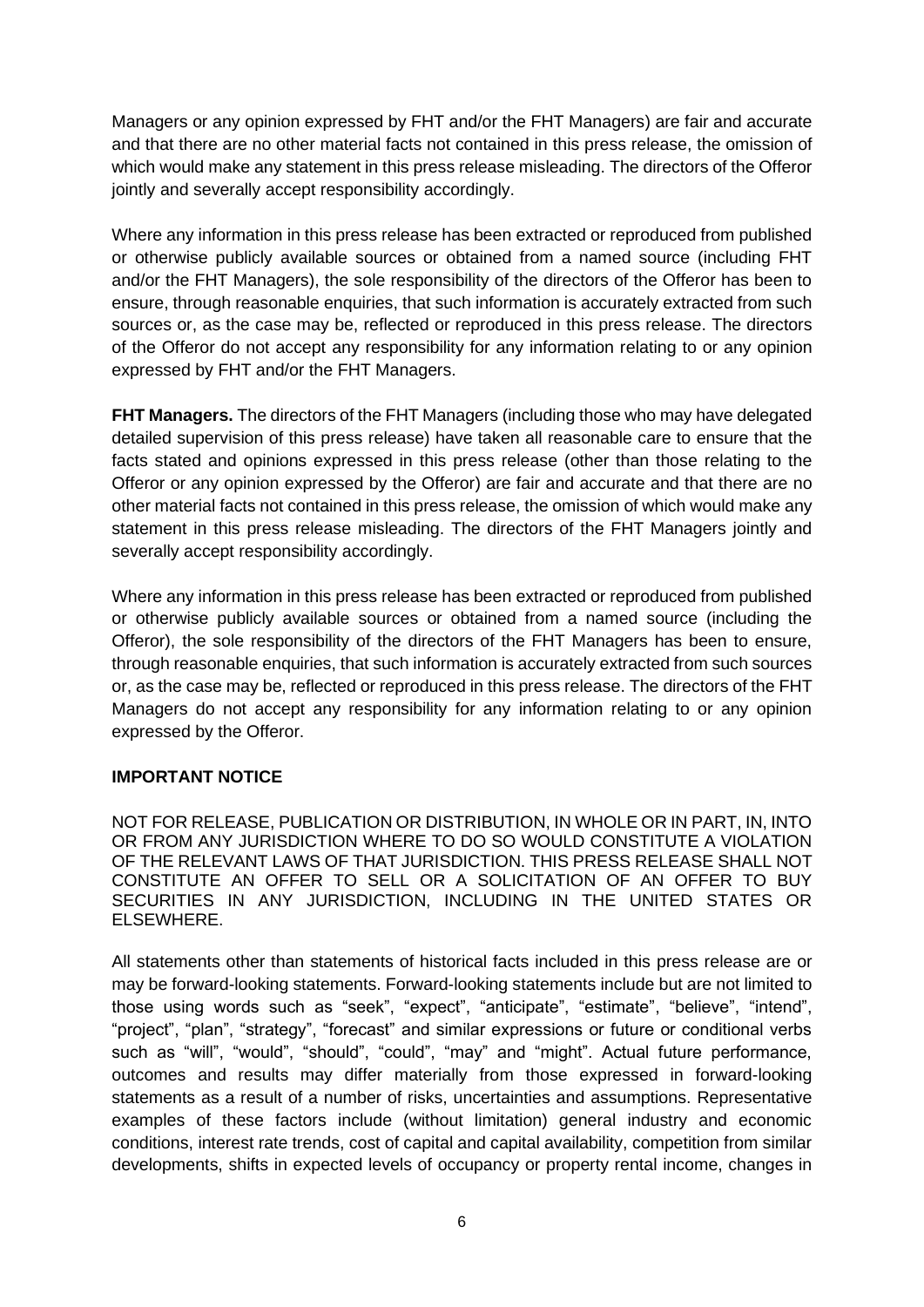Managers or any opinion expressed by FHT and/or the FHT Managers) are fair and accurate and that there are no other material facts not contained in this press release, the omission of which would make any statement in this press release misleading. The directors of the Offeror jointly and severally accept responsibility accordingly.

Where any information in this press release has been extracted or reproduced from published or otherwise publicly available sources or obtained from a named source (including FHT and/or the FHT Managers), the sole responsibility of the directors of the Offeror has been to ensure, through reasonable enquiries, that such information is accurately extracted from such sources or, as the case may be, reflected or reproduced in this press release. The directors of the Offeror do not accept any responsibility for any information relating to or any opinion expressed by FHT and/or the FHT Managers.

**FHT Managers.** The directors of the FHT Managers (including those who may have delegated detailed supervision of this press release) have taken all reasonable care to ensure that the facts stated and opinions expressed in this press release (other than those relating to the Offeror or any opinion expressed by the Offeror) are fair and accurate and that there are no other material facts not contained in this press release, the omission of which would make any statement in this press release misleading. The directors of the FHT Managers jointly and severally accept responsibility accordingly.

Where any information in this press release has been extracted or reproduced from published or otherwise publicly available sources or obtained from a named source (including the Offeror), the sole responsibility of the directors of the FHT Managers has been to ensure, through reasonable enquiries, that such information is accurately extracted from such sources or, as the case may be, reflected or reproduced in this press release. The directors of the FHT Managers do not accept any responsibility for any information relating to or any opinion expressed by the Offeror.

### **IMPORTANT NOTICE**

NOT FOR RELEASE, PUBLICATION OR DISTRIBUTION, IN WHOLE OR IN PART, IN, INTO OR FROM ANY JURISDICTION WHERE TO DO SO WOULD CONSTITUTE A VIOLATION OF THE RELEVANT LAWS OF THAT JURISDICTION. THIS PRESS RELEASE SHALL NOT CONSTITUTE AN OFFER TO SELL OR A SOLICITATION OF AN OFFER TO BUY SECURITIES IN ANY JURISDICTION, INCLUDING IN THE UNITED STATES OR ELSEWHERE.

All statements other than statements of historical facts included in this press release are or may be forward-looking statements. Forward-looking statements include but are not limited to those using words such as "seek", "expect", "anticipate", "estimate", "believe", "intend", "project", "plan", "strategy", "forecast" and similar expressions or future or conditional verbs such as "will", "would", "should", "could", "may" and "might". Actual future performance, outcomes and results may differ materially from those expressed in forward-looking statements as a result of a number of risks, uncertainties and assumptions. Representative examples of these factors include (without limitation) general industry and economic conditions, interest rate trends, cost of capital and capital availability, competition from similar developments, shifts in expected levels of occupancy or property rental income, changes in